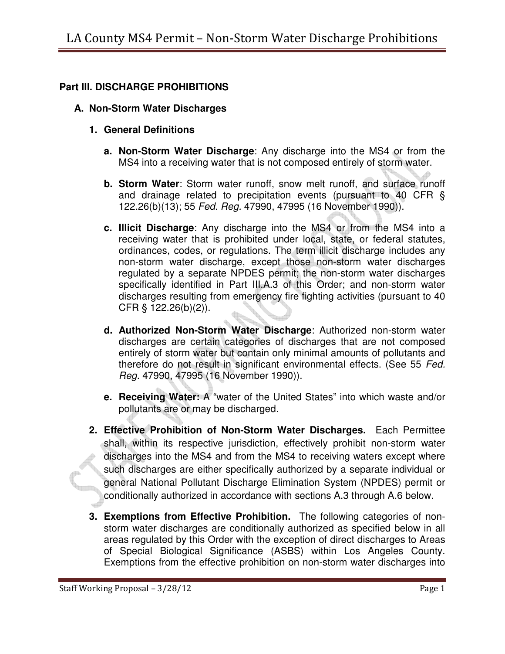## **Part III. DISCHARGE PROHIBITIONS**

## **A. Non-Storm Water Discharges**

- **1. General Definitions** 
	- **a. Non-Storm Water Discharge**: Any discharge into the MS4 or from the MS4 into a receiving water that is not composed entirely of storm water.
	- **b. Storm Water**: Storm water runoff, snow melt runoff, and surface runoff and drainage related to precipitation events (pursuant to 40 CFR § 122.26(b)(13); 55 Fed. Reg. 47990, 47995 (16 November 1990)).
	- **c. Illicit Discharge**: Any discharge into the MS4 or from the MS4 into a receiving water that is prohibited under local, state, or federal statutes, ordinances, codes, or regulations. The term illicit discharge includes any non-storm water discharge, except those non-storm water discharges regulated by a separate NPDES permit; the non-storm water discharges specifically identified in Part III.A.3 of this Order; and non-storm water discharges resulting from emergency fire fighting activities (pursuant to 40 CFR § 122.26(b)(2)).
	- **d. Authorized Non-Storm Water Discharge**: Authorized non-storm water discharges are certain categories of discharges that are not composed entirely of storm water but contain only minimal amounts of pollutants and therefore do not result in significant environmental effects. (See 55 Fed. Reg. 47990, 47995 (16 November 1990)).
	- **e. Receiving Water:** A "water of the United States" into which waste and/or pollutants are or may be discharged.
- **2. Effective Prohibition of Non-Storm Water Discharges.** Each Permittee shall, within its respective jurisdiction, effectively prohibit non-storm water discharges into the MS4 and from the MS4 to receiving waters except where such discharges are either specifically authorized by a separate individual or general National Pollutant Discharge Elimination System (NPDES) permit or conditionally authorized in accordance with sections A.3 through A.6 below.
- **3. Exemptions from Effective Prohibition.** The following categories of nonstorm water discharges are conditionally authorized as specified below in all areas regulated by this Order with the exception of direct discharges to Areas of Special Biological Significance (ASBS) within Los Angeles County. Exemptions from the effective prohibition on non-storm water discharges into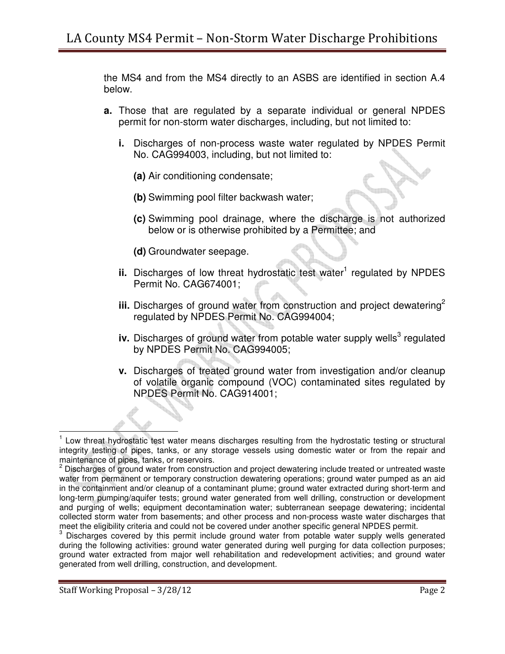the MS4 and from the MS4 directly to an ASBS are identified in section A.4 below.

- **a.** Those that are regulated by a separate individual or general NPDES permit for non-storm water discharges, including, but not limited to:
	- **i.** Discharges of non-process waste water regulated by NPDES Permit No. CAG994003, including, but not limited to:
		- **(a)** Air conditioning condensate;
		- **(b)** Swimming pool filter backwash water;
		- **(c)** Swimming pool drainage, where the discharge is not authorized below or is otherwise prohibited by a Permittee; and
		- **(d)** Groundwater seepage.
	- ii. Discharges of low threat hydrostatic test water<sup>1</sup> regulated by NPDES Permit No. CAG674001;
	- **iii.** Discharges of ground water from construction and project dewatering<sup>2</sup> regulated by NPDES Permit No. CAG994004;
	- iv. Discharges of ground water from potable water supply wells<sup>3</sup> regulated by NPDES Permit No. CAG994005;
	- **v.** Discharges of treated ground water from investigation and/or cleanup of volatile organic compound (VOC) contaminated sites regulated by NPDES Permit No. CAG914001;

<sup>&</sup>lt;sup>1</sup> Low threat hydrostatic test water means discharges resulting from the hydrostatic testing or structural integrity testing of pipes, tanks, or any storage vessels using domestic water or from the repair and maintenance of pipes, tanks, or reservoirs.

<sup>&</sup>lt;sup>2</sup> Discharges of ground water from construction and project dewatering include treated or untreated waste water from permanent or temporary construction dewatering operations; ground water pumped as an aid in the containment and/or cleanup of a contaminant plume; ground water extracted during short-term and long-term pumping/aquifer tests; ground water generated from well drilling, construction or development and purging of wells; equipment decontamination water; subterranean seepage dewatering; incidental collected storm water from basements; and other process and non-process waste water discharges that meet the eligibility criteria and could not be covered under another specific general NPDES permit.

<sup>&</sup>lt;sup>3</sup> Discharges covered by this permit include ground water from potable water supply wells generated during the following activities: ground water generated during well purging for data collection purposes; ground water extracted from major well rehabilitation and redevelopment activities; and ground water generated from well drilling, construction, and development.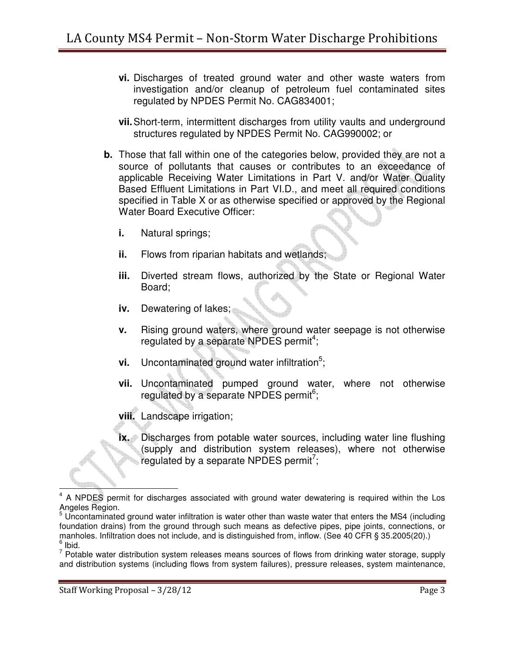- **vi.** Discharges of treated ground water and other waste waters from investigation and/or cleanup of petroleum fuel contaminated sites regulated by NPDES Permit No. CAG834001;
- **vii.** Short-term, intermittent discharges from utility vaults and underground structures regulated by NPDES Permit No. CAG990002; or
- **b.** Those that fall within one of the categories below, provided they are not a source of pollutants that causes or contributes to an exceedance of applicable Receiving Water Limitations in Part V. and/or Water Quality Based Effluent Limitations in Part VI.D., and meet all required conditions specified in Table X or as otherwise specified or approved by the Regional Water Board Executive Officer:
	- **i.** Natural springs;
	- **ii.** Flows from riparian habitats and wetlands;
	- **iii.** Diverted stream flows, authorized by the State or Regional Water Board;
	- **iv.** Dewatering of lakes;
	- **v.** Rising ground waters, where ground water seepage is not otherwise regulated by a separate NPDES permit<sup>4</sup>;
	- **vi.** Uncontaminated ground water infiltration<sup>5</sup>;
	- **vii.** Uncontaminated pumped ground water, where not otherwise regulated by a separate NPDES permit<sup>6</sup>;
	- **viii.** Landscape irrigation;
	- **ix.** Discharges from potable water sources, including water line flushing (supply and distribution system releases), where not otherwise regulated by a separate NPDES permit<sup>7</sup>;

 $4$  A NPDES permit for discharges associated with ground water dewatering is required within the Los Angeles Region.

<sup>&</sup>lt;sup>5</sup> Uncontaminated ground water infiltration is water other than waste water that enters the MS4 (including foundation drains) from the ground through such means as defective pipes, pipe joints, connections, or manholes. Infiltration does not include, and is distinguished from, inflow. (See 40 CFR § 35.2005(20).)  $<sup>6</sup>$  Ibid.</sup>

 $7$  Potable water distribution system releases means sources of flows from drinking water storage, supply and distribution systems (including flows from system failures), pressure releases, system maintenance,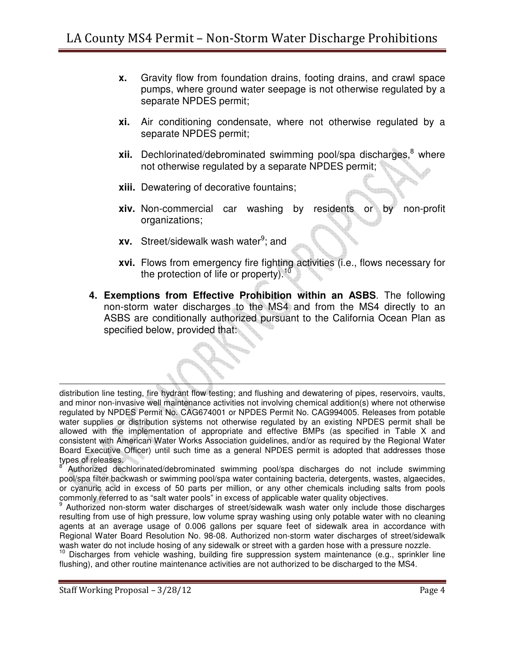- **x.** Gravity flow from foundation drains, footing drains, and crawl space pumps, where ground water seepage is not otherwise regulated by a separate NPDES permit;
- **xi.** Air conditioning condensate, where not otherwise regulated by a separate NPDES permit;
- **xii.** Dechlorinated/debrominated swimming pool/spa discharges, <sup>8</sup> where not otherwise regulated by a separate NPDES permit;
- **xiii.** Dewatering of decorative fountains;
- **xiv.** Non-commercial car washing by residents or by non-profit organizations;
- **xv.** Street/sidewalk wash water<sup>9</sup>; and
- **xvi.** Flows from emergency fire fighting activities (i.e., flows necessary for the protection of life or property).<sup>10</sup>
- **4. Exemptions from Effective Prohibition within an ASBS**. The following non-storm water discharges to the MS4 and from the MS4 directly to an ASBS are conditionally authorized pursuant to the California Ocean Plan as specified below, provided that:

distribution line testing, fire hydrant flow testing; and flushing and dewatering of pipes, reservoirs, vaults, and minor non-invasive well maintenance activities not involving chemical addition(s) where not otherwise regulated by NPDES Permit No. CAG674001 or NPDES Permit No. CAG994005. Releases from potable water supplies or distribution systems not otherwise regulated by an existing NPDES permit shall be allowed with the implementation of appropriate and effective BMPs (as specified in Table X and consistent with American Water Works Association guidelines, and/or as required by the Regional Water Board Executive Officer) until such time as a general NPDES permit is adopted that addresses those types of releases.<br><sup>8</sup> Autherized dee

 Authorized dechlorinated/debrominated swimming pool/spa discharges do not include swimming pool/spa filter backwash or swimming pool/spa water containing bacteria, detergents, wastes, algaecides, or cyanuric acid in excess of 50 parts per million, or any other chemicals including salts from pools commonly referred to as "salt water pools" in excess of applicable water quality objectives.

<sup>9</sup> Authorized non-storm water discharges of street/sidewalk wash water only include those discharges resulting from use of high pressure, low volume spray washing using only potable water with no cleaning agents at an average usage of 0.006 gallons per square feet of sidewalk area in accordance with Regional Water Board Resolution No. 98-08. Authorized non-storm water discharges of street/sidewalk wash water do not include hosing of any sidewalk or street with a garden hose with a pressure nozzle.

<sup>10</sup> Discharges from vehicle washing, building fire suppression system maintenance (e.g., sprinkler line flushing), and other routine maintenance activities are not authorized to be discharged to the MS4.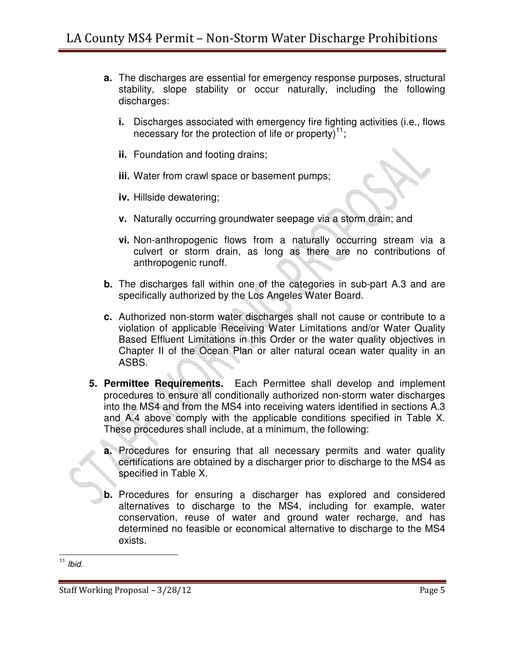- **a.** The discharges are essential for emergency response purposes, structural stability, slope stability or occur naturally, including the following discharges:
	- **i.** Discharges associated with emergency fire fighting activities (i.e., flows necessary for the protection of life or property)<sup>11</sup>;
	- **ii.** Foundation and footing drains;
	- **iii.** Water from crawl space or basement pumps;
	- **iv.** Hillside dewatering;
	- **v.** Naturally occurring groundwater seepage via a storm drain; and
	- **vi.** Non-anthropogenic flows from a naturally occurring stream via a culvert or storm drain, as long as there are no contributions of anthropogenic runoff.
- **b.** The discharges fall within one of the categories in sub-part A.3 and are specifically authorized by the Los Angeles Water Board.
- **c.** Authorized non-storm water discharges shall not cause or contribute to a violation of applicable Receiving Water Limitations and/or Water Quality Based Effluent Limitations in this Order or the water quality objectives in Chapter II of the Ocean Plan or alter natural ocean water quality in an ASBS.
- **5. Permittee Requirements.** Each Permittee shall develop and implement procedures to ensure all conditionally authorized non-storm water discharges into the MS4 and from the MS4 into receiving waters identified in sections A.3 and A.4 above comply with the applicable conditions specified in Table X. These procedures shall include, at a minimum, the following:
	- **a.** Procedures for ensuring that all necessary permits and water quality certifications are obtained by a discharger prior to discharge to the MS4 as specified in Table X.
	- **b.** Procedures for ensuring a discharger has explored and considered alternatives to discharge to the MS4, including for example, water conservation, reuse of water and ground water recharge, and has determined no feasible or economical alternative to discharge to the MS4 exists.

 $11$  Ibid.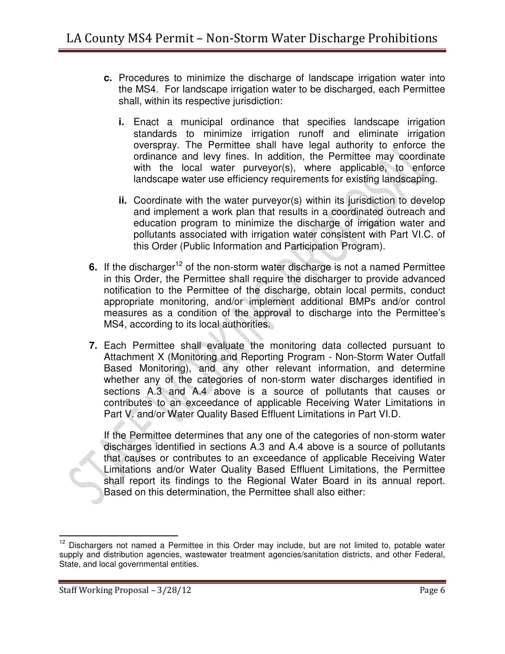- **c.** Procedures to minimize the discharge of landscape irrigation water into the MS4. For landscape irrigation water to be discharged, each Permittee shall, within its respective jurisdiction:
	- **i.** Enact a municipal ordinance that specifies landscape irrigation standards to minimize irrigation runoff and eliminate irrigation overspray. The Permittee shall have legal authority to enforce the ordinance and levy fines. In addition, the Permittee may coordinate with the local water purveyor(s), where applicable, to enforce landscape water use efficiency requirements for existing landscaping.
	- **ii.** Coordinate with the water purveyor(s) within its jurisdiction to develop and implement a work plan that results in a coordinated outreach and education program to minimize the discharge of irrigation water and pollutants associated with irrigation water consistent with Part VI.C. of this Order (Public Information and Participation Program).
- **6.** If the discharger<sup>12</sup> of the non-storm water discharge is not a named Permittee in this Order, the Permittee shall require the discharger to provide advanced notification to the Permittee of the discharge, obtain local permits, conduct appropriate monitoring, and/or implement additional BMPs and/or control measures as a condition of the approval to discharge into the Permittee's MS4, according to its local authorities.
- **7.** Each Permittee shall evaluate the monitoring data collected pursuant to Attachment X (Monitoring and Reporting Program - Non-Storm Water Outfall Based Monitoring), and any other relevant information, and determine whether any of the categories of non-storm water discharges identified in sections A.3 and A.4 above is a source of pollutants that causes or contributes to an exceedance of applicable Receiving Water Limitations in Part V. and/or Water Quality Based Effluent Limitations in Part VI.D.

If the Permittee determines that any one of the categories of non-storm water discharges identified in sections A.3 and A.4 above is a source of pollutants that causes or contributes to an exceedance of applicable Receiving Water Limitations and/or Water Quality Based Effluent Limitations, the Permittee shall report its findings to the Regional Water Board in its annual report. Based on this determination, the Permittee shall also either:

 $12$  Dischargers not named a Permittee in this Order may include, but are not limited to, potable water supply and distribution agencies, wastewater treatment agencies/sanitation districts, and other Federal, State, and local governmental entities.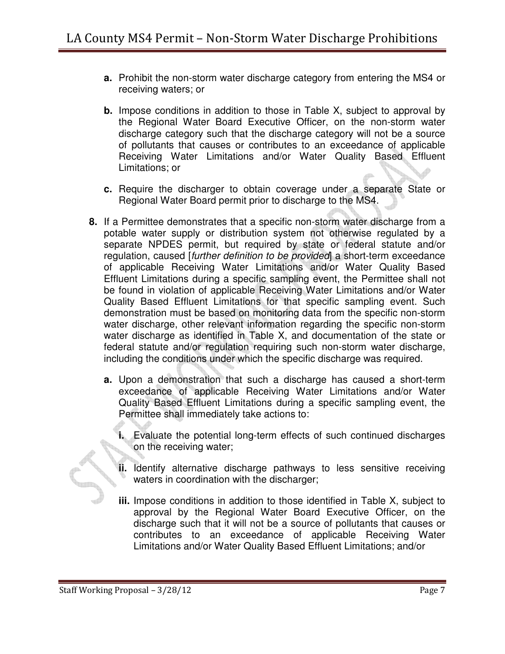- **a.** Prohibit the non-storm water discharge category from entering the MS4 or receiving waters; or
- **b.** Impose conditions in addition to those in Table X, subject to approval by the Regional Water Board Executive Officer, on the non-storm water discharge category such that the discharge category will not be a source of pollutants that causes or contributes to an exceedance of applicable Receiving Water Limitations and/or Water Quality Based Effluent Limitations; or
- **c.** Require the discharger to obtain coverage under a separate State or Regional Water Board permit prior to discharge to the MS4.
- **8.** If a Permittee demonstrates that a specific non-storm water discharge from a potable water supply or distribution system not otherwise regulated by a separate NPDES permit, but required by state or federal statute and/or regulation, caused [further definition to be provided] a short-term exceedance of applicable Receiving Water Limitations and/or Water Quality Based Effluent Limitations during a specific sampling event, the Permittee shall not be found in violation of applicable Receiving Water Limitations and/or Water Quality Based Effluent Limitations for that specific sampling event. Such demonstration must be based on monitoring data from the specific non-storm water discharge, other relevant information regarding the specific non-storm water discharge as identified in Table X, and documentation of the state or federal statute and/or regulation requiring such non-storm water discharge, including the conditions under which the specific discharge was required.
	- **a.** Upon a demonstration that such a discharge has caused a short-term exceedance of applicable Receiving Water Limitations and/or Water Quality Based Effluent Limitations during a specific sampling event, the Permittee shall immediately take actions to:
		- **i.** Evaluate the potential long-term effects of such continued discharges on the receiving water;
		- **ii.** Identify alternative discharge pathways to less sensitive receiving waters in coordination with the discharger;
		- **iii.** Impose conditions in addition to those identified in Table X, subject to approval by the Regional Water Board Executive Officer, on the discharge such that it will not be a source of pollutants that causes or contributes to an exceedance of applicable Receiving Water Limitations and/or Water Quality Based Effluent Limitations; and/or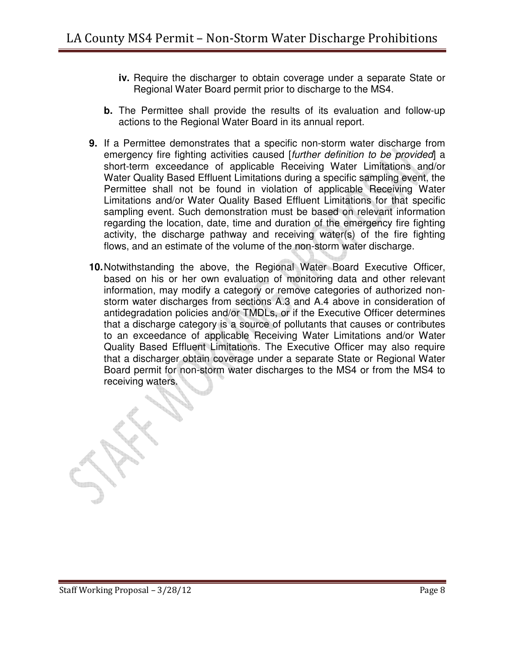- **iv.** Require the discharger to obtain coverage under a separate State or Regional Water Board permit prior to discharge to the MS4.
- **b.** The Permittee shall provide the results of its evaluation and follow-up actions to the Regional Water Board in its annual report.
- **9.** If a Permittee demonstrates that a specific non-storm water discharge from emergency fire fighting activities caused [further definition to be provided] a short-term exceedance of applicable Receiving Water Limitations and/or Water Quality Based Effluent Limitations during a specific sampling event, the Permittee shall not be found in violation of applicable Receiving Water Limitations and/or Water Quality Based Effluent Limitations for that specific sampling event. Such demonstration must be based on relevant information regarding the location, date, time and duration of the emergency fire fighting activity, the discharge pathway and receiving water(s) of the fire fighting flows, and an estimate of the volume of the non-storm water discharge.
- **10.** Notwithstanding the above, the Regional Water Board Executive Officer, based on his or her own evaluation of monitoring data and other relevant information, may modify a category or remove categories of authorized nonstorm water discharges from sections A.3 and A.4 above in consideration of antidegradation policies and/or TMDLs, or if the Executive Officer determines that a discharge category is a source of pollutants that causes or contributes to an exceedance of applicable Receiving Water Limitations and/or Water Quality Based Effluent Limitations. The Executive Officer may also require that a discharger obtain coverage under a separate State or Regional Water Board permit for non-storm water discharges to the MS4 or from the MS4 to receiving waters.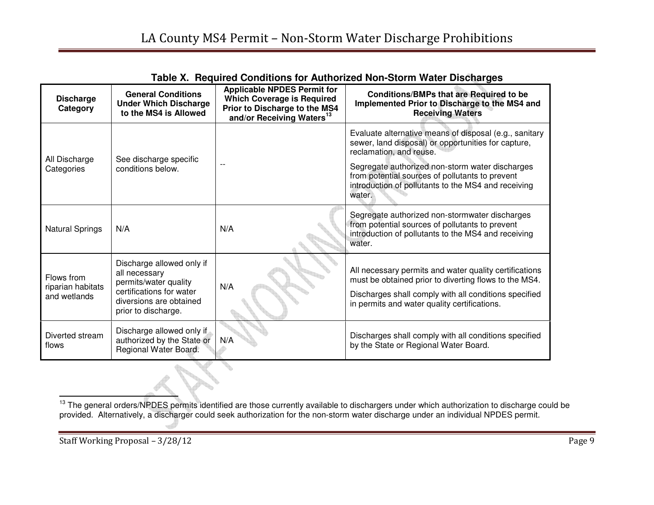| <b>Discharge</b><br>Category                    | <b>General Conditions</b><br><b>Under Which Discharge</b><br>to the MS4 is Allowed                                                                | <b>Applicable NPDES Permit for</b><br><b>Which Coverage is Required</b><br>Prior to Discharge to the MS4<br>and/or Receiving Waters <sup>13</sup> | <b>Conditions/BMPs that are Required to be</b><br>Implemented Prior to Discharge to the MS4 and<br><b>Receiving Waters</b>                                                                                               |
|-------------------------------------------------|---------------------------------------------------------------------------------------------------------------------------------------------------|---------------------------------------------------------------------------------------------------------------------------------------------------|--------------------------------------------------------------------------------------------------------------------------------------------------------------------------------------------------------------------------|
| All Discharge                                   | See discharge specific                                                                                                                            |                                                                                                                                                   | Evaluate alternative means of disposal (e.g., sanitary<br>sewer, land disposal) or opportunities for capture,<br>reclamation, and reuse.                                                                                 |
| Categories                                      | conditions below.                                                                                                                                 |                                                                                                                                                   | Segregate authorized non-storm water discharges<br>from potential sources of pollutants to prevent<br>introduction of pollutants to the MS4 and receiving<br>water.                                                      |
| <b>Natural Springs</b>                          | N/A                                                                                                                                               | N/A                                                                                                                                               | Segregate authorized non-stormwater discharges<br>from potential sources of pollutants to prevent<br>introduction of pollutants to the MS4 and receiving<br>water.                                                       |
| Flows from<br>riparian habitats<br>and wetlands | Discharge allowed only if<br>all necessary<br>permits/water quality<br>certifications for water<br>diversions are obtained<br>prior to discharge. | N/A                                                                                                                                               | All necessary permits and water quality certifications<br>must be obtained prior to diverting flows to the MS4.<br>Discharges shall comply with all conditions specified<br>in permits and water quality certifications. |
| Diverted stream<br>flows                        | Discharge allowed only if<br>authorized by the State or<br>Regional Water Board.                                                                  | N/A                                                                                                                                               | Discharges shall comply with all conditions specified<br>by the State or Regional Water Board.                                                                                                                           |

**Table X. Required Conditions for Authorized Non-Storm Water Discharges** 

<sup>&</sup>lt;sup>13</sup> The general orders/NPDES permits identified are those currently available to dischargers under which authorization to discharge could be provided. Alternatively, a discharger could seek authorization for the non-storm water discharge under an individual NPDES permit.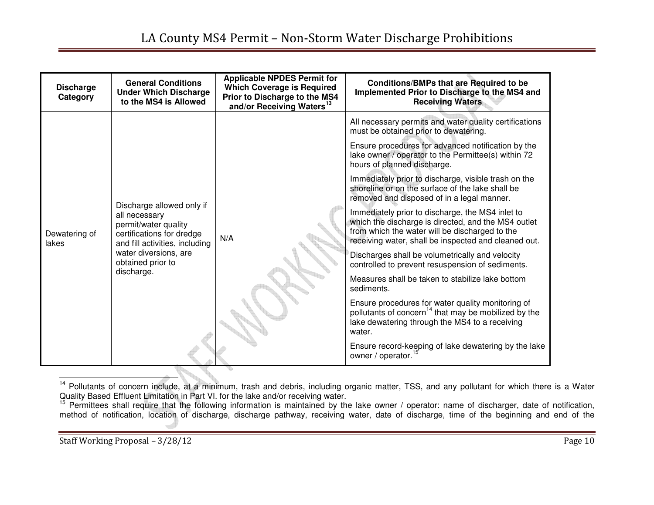| <b>Discharge</b><br>Category | <b>General Conditions</b><br><b>Under Which Discharge</b><br>to the MS4 is Allowed                                                                                                            | <b>Applicable NPDES Permit for</b><br><b>Which Coverage is Required</b><br>Prior to Discharge to the MS4<br>and/or Receiving Waters <sup>13</sup> | <b>Conditions/BMPs that are Required to be</b><br>Implemented Prior to Discharge to the MS4 and<br><b>Receiving Waters</b>                                                                                        |
|------------------------------|-----------------------------------------------------------------------------------------------------------------------------------------------------------------------------------------------|---------------------------------------------------------------------------------------------------------------------------------------------------|-------------------------------------------------------------------------------------------------------------------------------------------------------------------------------------------------------------------|
| Dewatering of<br>lakes       |                                                                                                                                                                                               |                                                                                                                                                   | All necessary permits and water quality certifications<br>must be obtained prior to dewatering.                                                                                                                   |
|                              | Discharge allowed only if<br>all necessary<br>permit/water quality<br>certifications for dredge<br>and fill activities, including<br>water diversions, are<br>obtained prior to<br>discharge. |                                                                                                                                                   | Ensure procedures for advanced notification by the<br>lake owner / operator to the Permittee(s) within 72<br>hours of planned discharge.                                                                          |
|                              |                                                                                                                                                                                               |                                                                                                                                                   | Immediately prior to discharge, visible trash on the<br>shoreline or on the surface of the lake shall be<br>removed and disposed of in a legal manner.                                                            |
|                              |                                                                                                                                                                                               | N/A                                                                                                                                               | Immediately prior to discharge, the MS4 inlet to<br>which the discharge is directed, and the MS4 outlet<br>from which the water will be discharged to the<br>receiving water, shall be inspected and cleaned out. |
|                              |                                                                                                                                                                                               |                                                                                                                                                   | Discharges shall be volumetrically and velocity<br>controlled to prevent resuspension of sediments.                                                                                                               |
|                              |                                                                                                                                                                                               |                                                                                                                                                   | Measures shall be taken to stabilize lake bottom<br>sediments.                                                                                                                                                    |
|                              |                                                                                                                                                                                               |                                                                                                                                                   | Ensure procedures for water quality monitoring of<br>pollutants of concern <sup>14</sup> that may be mobilized by the<br>lake dewatering through the MS4 to a receiving<br>water.                                 |
|                              |                                                                                                                                                                                               |                                                                                                                                                   | Ensure record-keeping of lake dewatering by the lake<br>owner / operator.                                                                                                                                         |

<sup>&</sup>lt;sup>14</sup> Pollutants of concern include, at a minimum, trash and debris, including organic matter, TSS, and any pollutant for which there is a Water<br>Quality Based Effluent Limitation in Part VI. for the lake and/or receiving wa

method of notification, location of discharge, discharge pathway, receiving water, date of discharge, time of the beginning and end of the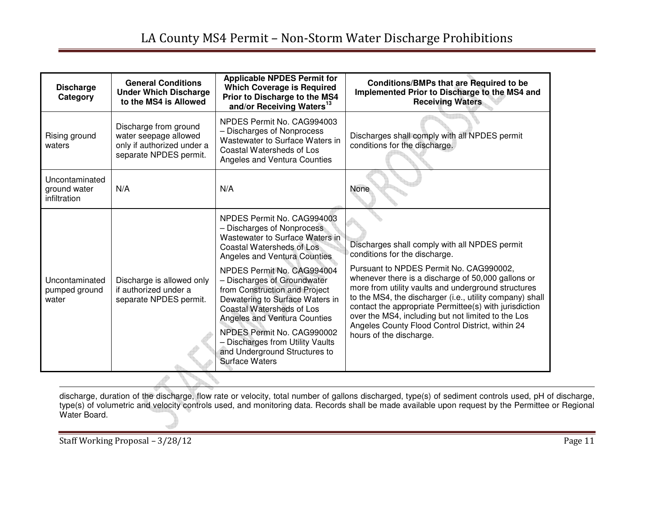| <b>Discharge</b><br>Category                   | <b>General Conditions</b><br><b>Under Which Discharge</b><br>to the MS4 is Allowed                     | <b>Applicable NPDES Permit for</b><br><b>Which Coverage is Required</b><br>Prior to Discharge to the MS4<br>and/or Receiving Waters <sup>13</sup>                                                                                                                                        | Conditions/BMPs that are Required to be<br>Implemented Prior to Discharge to the MS4 and<br><b>Receiving Waters</b>                                                                                                                                                                                                                                                  |
|------------------------------------------------|--------------------------------------------------------------------------------------------------------|------------------------------------------------------------------------------------------------------------------------------------------------------------------------------------------------------------------------------------------------------------------------------------------|----------------------------------------------------------------------------------------------------------------------------------------------------------------------------------------------------------------------------------------------------------------------------------------------------------------------------------------------------------------------|
| Rising ground<br>waters                        | Discharge from ground<br>water seepage allowed<br>only if authorized under a<br>separate NPDES permit. | NPDES Permit No. CAG994003<br>- Discharges of Nonprocess<br>Wastewater to Surface Waters in<br>Coastal Watersheds of Los<br>Angeles and Ventura Counties                                                                                                                                 | Discharges shall comply with all NPDES permit<br>conditions for the discharge.                                                                                                                                                                                                                                                                                       |
| Uncontaminated<br>ground water<br>infiltration | N/A                                                                                                    | N/A                                                                                                                                                                                                                                                                                      | None                                                                                                                                                                                                                                                                                                                                                                 |
|                                                |                                                                                                        | NPDES Permit No. CAG994003<br>- Discharges of Nonprocess<br>Wastewater to Surface Waters in<br>Coastal Watersheds of Los<br>Angeles and Ventura Counties<br>NPDES Permit No. CAG994004                                                                                                   | Discharges shall comply with all NPDES permit<br>conditions for the discharge.<br>Pursuant to NPDES Permit No. CAG990002,                                                                                                                                                                                                                                            |
| Uncontaminated<br>pumped ground<br>water       | Discharge is allowed only<br>if authorized under a<br>separate NPDES permit.                           | - Discharges of Groundwater<br>from Construction and Project<br>Dewatering to Surface Waters in<br>Coastal Watersheds of Los<br>Angeles and Ventura Counties<br>NPDES Permit No. CAG990002<br>- Discharges from Utility Vaults<br>and Underground Structures to<br><b>Surface Waters</b> | whenever there is a discharge of 50,000 gallons or<br>more from utility vaults and underground structures<br>to the MS4, the discharger (i.e., utility company) shall<br>contact the appropriate Permittee(s) with jurisdiction<br>over the MS4, including but not limited to the Los<br>Angeles County Flood Control District, within 24<br>hours of the discharge. |

discharge, duration of the discharge, flow rate or velocity, total number of gallons discharged, type(s) of sediment controls used, pH of discharge,<br>type(s) of volumetric and velocity controls used, and monitoring data. Re Water Board.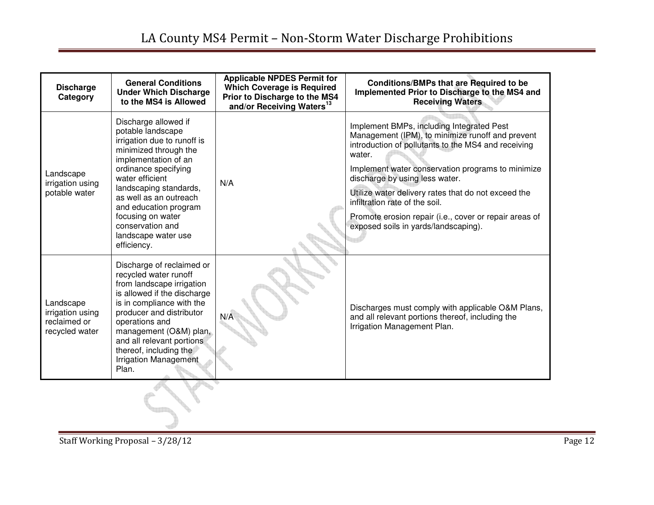| <b>Discharge</b><br>Category                                    | <b>General Conditions</b><br><b>Under Which Discharge</b><br>to the MS4 is Allowed                                                                                                                                                                                                                                               | <b>Applicable NPDES Permit for</b><br><b>Which Coverage is Required</b><br>Prior to Discharge to the MS4<br>and/or Receiving Waters <sup>13</sup> | Conditions/BMPs that are Required to be<br>Implemented Prior to Discharge to the MS4 and<br><b>Receiving Waters</b>                                                                                                                                                                                                                                                                                                                              |
|-----------------------------------------------------------------|----------------------------------------------------------------------------------------------------------------------------------------------------------------------------------------------------------------------------------------------------------------------------------------------------------------------------------|---------------------------------------------------------------------------------------------------------------------------------------------------|--------------------------------------------------------------------------------------------------------------------------------------------------------------------------------------------------------------------------------------------------------------------------------------------------------------------------------------------------------------------------------------------------------------------------------------------------|
| Landscape<br>irrigation using<br>potable water                  | Discharge allowed if<br>potable landscape<br>irrigation due to runoff is<br>minimized through the<br>implementation of an<br>ordinance specifying<br>water efficient<br>landscaping standards,<br>as well as an outreach<br>and education program<br>focusing on water<br>conservation and<br>landscape water use<br>efficiency. | N/A                                                                                                                                               | Implement BMPs, including Integrated Pest<br>Management (IPM), to minimize runoff and prevent<br>introduction of pollutants to the MS4 and receiving<br>water.<br>Implement water conservation programs to minimize<br>discharge by using less water.<br>Utilize water delivery rates that do not exceed the<br>infiltration rate of the soil.<br>Promote erosion repair (i.e., cover or repair areas of<br>exposed soils in yards/landscaping). |
| Landscape<br>irrigation using<br>reclaimed or<br>recycled water | Discharge of reclaimed or<br>recycled water runoff<br>from landscape irrigation<br>is allowed if the discharge<br>is in compliance with the<br>producer and distributor<br>operations and<br>management (O&M) plan,<br>and all relevant portions<br>thereof, including the<br><b>Irrigation Management</b><br>Plan.              | N/A                                                                                                                                               | Discharges must comply with applicable O&M Plans,<br>and all relevant portions thereof, including the<br>Irrigation Management Plan.                                                                                                                                                                                                                                                                                                             |
|                                                                 |                                                                                                                                                                                                                                                                                                                                  |                                                                                                                                                   |                                                                                                                                                                                                                                                                                                                                                                                                                                                  |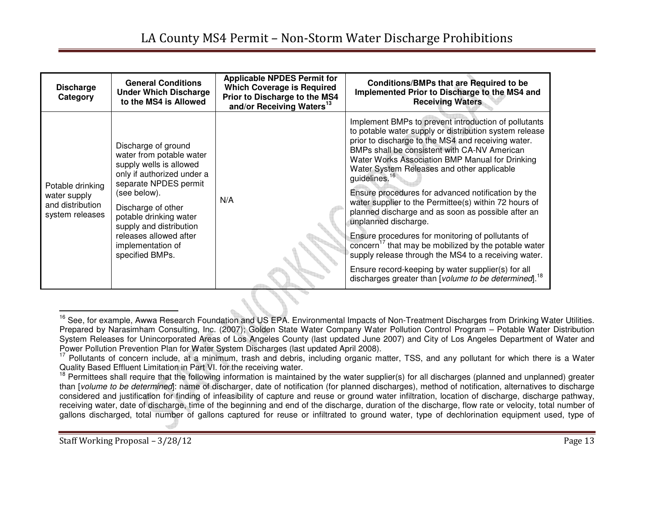| <b>Discharge</b><br>Category                                            | <b>General Conditions</b><br><b>Under Which Discharge</b><br>to the MS4 is Allowed                                                                                                                                                                                                             | <b>Applicable NPDES Permit for</b><br><b>Which Coverage is Required</b><br>Prior to Discharge to the MS4<br>and/or Receiving Waters <sup>13</sup> | <b>Conditions/BMPs that are Required to be</b><br>Implemented Prior to Discharge to the MS4 and<br><b>Receiving Waters</b>                                                                                                                                                                                                                                                                                                                                                                                                                                                                                                                                                                                                                                                                                                                                 |
|-------------------------------------------------------------------------|------------------------------------------------------------------------------------------------------------------------------------------------------------------------------------------------------------------------------------------------------------------------------------------------|---------------------------------------------------------------------------------------------------------------------------------------------------|------------------------------------------------------------------------------------------------------------------------------------------------------------------------------------------------------------------------------------------------------------------------------------------------------------------------------------------------------------------------------------------------------------------------------------------------------------------------------------------------------------------------------------------------------------------------------------------------------------------------------------------------------------------------------------------------------------------------------------------------------------------------------------------------------------------------------------------------------------|
| Potable drinking<br>water supply<br>and distribution<br>system releases | Discharge of ground<br>water from potable water<br>supply wells is allowed<br>only if authorized under a<br>separate NPDES permit<br>(see below).<br>Discharge of other<br>potable drinking water<br>supply and distribution<br>releases allowed after<br>implementation of<br>specified BMPs. | N/A                                                                                                                                               | Implement BMPs to prevent introduction of pollutants<br>to potable water supply or distribution system release<br>prior to discharge to the MS4 and receiving water.<br>BMPs shall be consistent with CA-NV American<br>Water Works Association BMP Manual for Drinking<br>Water System Releases and other applicable<br>guidelines. <sup>16</sup><br>Ensure procedures for advanced notification by the<br>water supplier to the Permittee(s) within 72 hours of<br>planned discharge and as soon as possible after an<br>unplanned discharge.<br>Ensure procedures for monitoring of pollutants of<br>concern <sup>17</sup> that may be mobilized by the potable water<br>supply release through the MS4 to a receiving water.<br>Ensure record-keeping by water supplier(s) for all<br>discharges greater than [volume to be determined]. <sup>18</sup> |

<sup>&</sup>lt;sup>16</sup> See, for example, Awwa Research Foundation and US EPA. Environmental Impacts of Non-Treatment Discharges from Drinking Water Utilities. Prepared by Narasimham Consulting, Inc. (2007); Golden State Water Company Water Pollution Control Program – Potable Water Distribution System Releases for Unincorporated Areas of Los Angeles County (last updated June 2007) and City of Los Angeles Department of Water and

<sup>&</sup>lt;sup>17</sup> Pollutants of concern include, at a minimum, trash and debris, including organic matter, TSS, and any pollutant for which there is a Water<br>Quality Based Effluent Limitation in Part VI. for the receiving water.

 $18$  Permittees shall require that the following information is maintained by the water supplier(s) for all discharges (planned and unplanned) greater than [volume to be determined]: name of discharger, date of notification (for planned discharges), method of notification, alternatives to discharge considered and justification for finding of infeasibility of capture and reuse or ground water infiltration, location of discharge, discharge pathway, receiving water, date of discharge, time of the beginning and end of the discharge, duration of the discharge, flow rate or velocity, total number of gallons discharged, total number of gallons captured for reuse or infiltrated to ground water, type of dechlorination equipment used, type of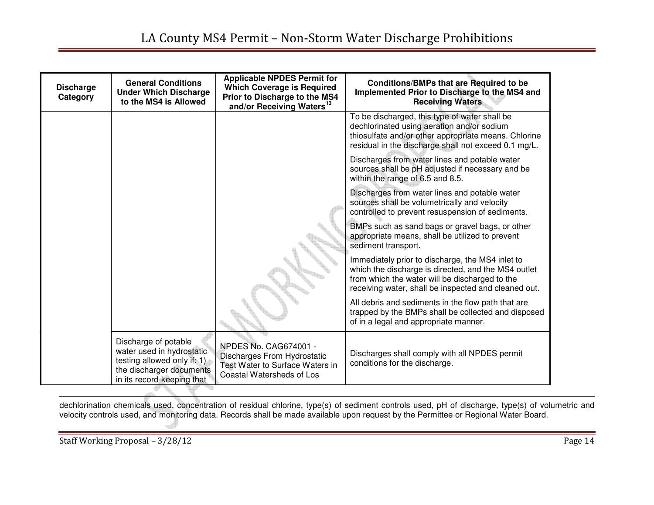| <b>Discharge</b><br>Category | <b>General Conditions</b><br><b>Under Which Discharge</b><br>to the MS4 is Allowed                                                         | <b>Applicable NPDES Permit for</b><br><b>Which Coverage is Required</b><br>Prior to Discharge to the MS4<br>and/or Receiving Waters <sup>13</sup> | <b>Conditions/BMPs that are Required to be</b><br>Implemented Prior to Discharge to the MS4 and<br><b>Receiving Waters</b>                                                                                        |
|------------------------------|--------------------------------------------------------------------------------------------------------------------------------------------|---------------------------------------------------------------------------------------------------------------------------------------------------|-------------------------------------------------------------------------------------------------------------------------------------------------------------------------------------------------------------------|
|                              |                                                                                                                                            |                                                                                                                                                   | To be discharged, this type of water shall be<br>dechlorinated using aeration and/or sodium<br>thiosulfate and/or other appropriate means. Chlorine<br>residual in the discharge shall not exceed 0.1 mg/L.       |
|                              |                                                                                                                                            |                                                                                                                                                   | Discharges from water lines and potable water<br>sources shall be pH adjusted if necessary and be<br>within the range of 6.5 and 8.5.                                                                             |
|                              |                                                                                                                                            |                                                                                                                                                   | Discharges from water lines and potable water<br>sources shall be volumetrically and velocity<br>controlled to prevent resuspension of sediments.                                                                 |
|                              |                                                                                                                                            |                                                                                                                                                   | BMPs such as sand bags or gravel bags, or other<br>appropriate means, shall be utilized to prevent<br>sediment transport.                                                                                         |
|                              |                                                                                                                                            |                                                                                                                                                   | Immediately prior to discharge, the MS4 inlet to<br>which the discharge is directed, and the MS4 outlet<br>from which the water will be discharged to the<br>receiving water, shall be inspected and cleaned out. |
|                              |                                                                                                                                            |                                                                                                                                                   | All debris and sediments in the flow path that are<br>trapped by the BMPs shall be collected and disposed<br>of in a legal and appropriate manner.                                                                |
|                              | Discharge of potable<br>water used in hydrostatic<br>testing allowed only if: 1)<br>the discharger documents<br>in its record-keeping that | <b>NPDES No. CAG674001 -</b><br>Discharges From Hydrostatic<br>Test Water to Surface Waters in<br>Coastal Watersheds of Los                       | Discharges shall comply with all NPDES permit<br>conditions for the discharge.                                                                                                                                    |

dechlorination chemicals used, concentration of residual chlorine, type(s) of sediment controls used, pH of discharge, type(s) of volumetric and velocity controls used, and monitoring data. Records shall be made available upon request by the Permittee or Regional Water Board.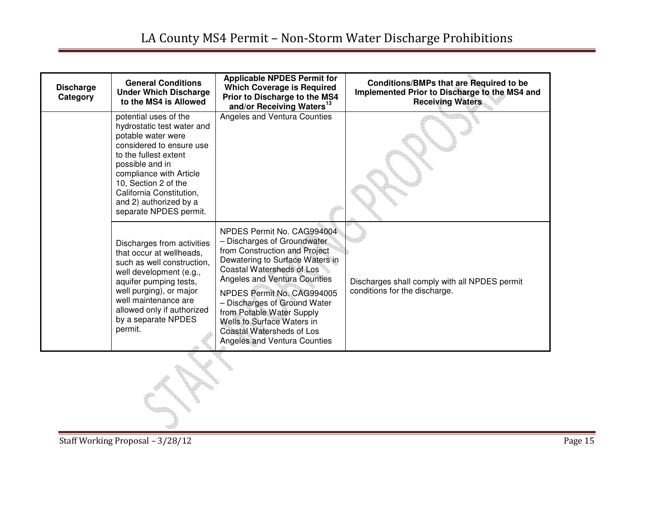| <b>Discharge</b><br>Category | <b>General Conditions</b><br><b>Under Which Discharge</b><br>to the MS4 is Allowed                                                                                                                                                                                                   | <b>Applicable NPDES Permit for</b><br><b>Which Coverage is Required</b><br>Prior to Discharge to the MS4<br>and/or Receiving Waters <sup>13</sup>                                                                                                                                                                                                                                | Conditions/BMPs that are Required to be<br>Implemented Prior to Discharge to the MS4 and<br><b>Receiving Waters</b> |
|------------------------------|--------------------------------------------------------------------------------------------------------------------------------------------------------------------------------------------------------------------------------------------------------------------------------------|----------------------------------------------------------------------------------------------------------------------------------------------------------------------------------------------------------------------------------------------------------------------------------------------------------------------------------------------------------------------------------|---------------------------------------------------------------------------------------------------------------------|
|                              | potential uses of the<br>hydrostatic test water and<br>potable water were<br>considered to ensure use<br>to the fullest extent<br>possible and in<br>compliance with Article<br>10, Section 2 of the<br>California Constitution,<br>and 2) authorized by a<br>separate NPDES permit. | Angeles and Ventura Counties                                                                                                                                                                                                                                                                                                                                                     |                                                                                                                     |
|                              | Discharges from activities<br>that occur at wellheads.<br>such as well construction.<br>well development (e.g.,<br>aquifer pumping tests,<br>well purging), or major<br>well maintenance are<br>allowed only if authorized<br>by a separate NPDES<br>permit.                         | NPDES Permit No. CAG994004<br>- Discharges of Groundwater<br>from Construction and Project<br>Dewatering to Surface Waters in<br>Coastal Watersheds of Los<br>Angeles and Ventura Counties<br>NPDES Permit No. CAG994005<br>- Discharges of Ground Water<br>from Potable Water Supply<br>Wells to Surface Waters in<br>Coastal Watersheds of Los<br>Angeles and Ventura Counties | Discharges shall comply with all NPDES permit<br>conditions for the discharge.                                      |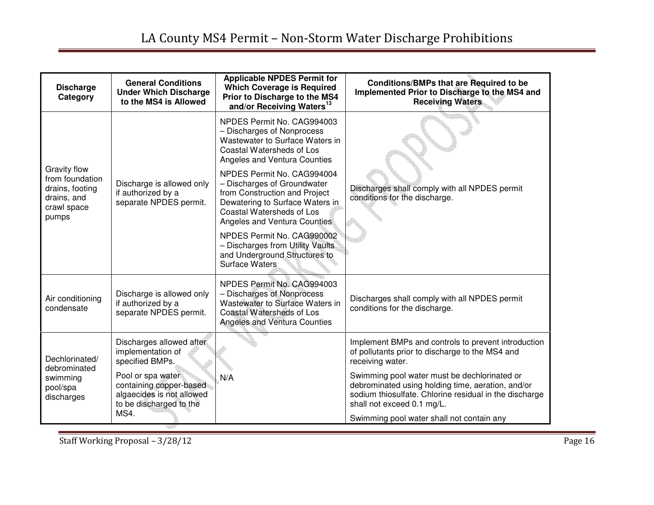## LA County MS4 Permit – Non-Storm Water Discharge Prohibitions

| <b>Discharge</b><br>Category                                                                     | <b>General Conditions</b><br><b>Under Which Discharge</b><br>to the MS4 is Allowed                   | <b>Applicable NPDES Permit for</b><br><b>Which Coverage is Required</b><br>Prior to Discharge to the MS4<br>and/or Receiving Waters <sup>13</sup>                                          | <b>Conditions/BMPs that are Required to be</b><br>Implemented Prior to Discharge to the MS4 and<br><b>Receiving Waters</b>                                                                |
|--------------------------------------------------------------------------------------------------|------------------------------------------------------------------------------------------------------|--------------------------------------------------------------------------------------------------------------------------------------------------------------------------------------------|-------------------------------------------------------------------------------------------------------------------------------------------------------------------------------------------|
| <b>Gravity flow</b><br>from foundation<br>drains, footing<br>drains, and<br>crawl space<br>pumps |                                                                                                      | NPDES Permit No. CAG994003<br>- Discharges of Nonprocess<br>Wastewater to Surface Waters in<br>Coastal Watersheds of Los<br>Angeles and Ventura Counties                                   |                                                                                                                                                                                           |
|                                                                                                  | Discharge is allowed only<br>if authorized by a<br>separate NPDES permit.                            | NPDES Permit No. CAG994004<br>- Discharges of Groundwater<br>from Construction and Project<br>Dewatering to Surface Waters in<br>Coastal Watersheds of Los<br>Angeles and Ventura Counties | Discharges shall comply with all NPDES permit<br>conditions for the discharge.                                                                                                            |
|                                                                                                  |                                                                                                      | NPDES Permit No. CAG990002<br>- Discharges from Utility Vaults<br>and Underground Structures to<br>Surface Waters                                                                          |                                                                                                                                                                                           |
| Air conditioning<br>condensate                                                                   | Discharge is allowed only<br>if authorized by a<br>separate NPDES permit.                            | NPDES Permit No. CAG994003<br>- Discharges of Nonprocess<br>Wastewater to Surface Waters in<br>Coastal Watersheds of Los<br>Angeles and Ventura Counties                                   | Discharges shall comply with all NPDES permit<br>conditions for the discharge.                                                                                                            |
| Dechlorinated/<br>debrominated<br>swimming<br>pool/spa<br>discharges                             | Discharges allowed after<br>implementation of<br>specified BMPs.                                     |                                                                                                                                                                                            | Implement BMPs and controls to prevent introduction<br>of pollutants prior to discharge to the MS4 and<br>receiving water.                                                                |
|                                                                                                  | Pool or spa water<br>containing copper-based<br>algaecides is not allowed<br>to be discharged to the | N/A                                                                                                                                                                                        | Swimming pool water must be dechlorinated or<br>debrominated using holding time, aeration, and/or<br>sodium thiosulfate. Chlorine residual in the discharge<br>shall not exceed 0.1 mg/L. |
|                                                                                                  | MS4.                                                                                                 |                                                                                                                                                                                            | Swimming pool water shall not contain any                                                                                                                                                 |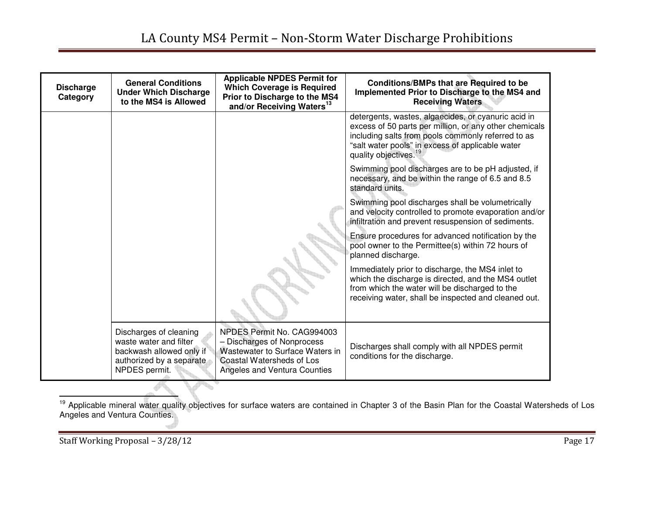| <b>Discharge</b><br>Category | <b>General Conditions</b><br><b>Under Which Discharge</b><br>to the MS4 is Allowed                                        | <b>Applicable NPDES Permit for</b><br><b>Which Coverage is Required</b><br>Prior to Discharge to the MS4<br>and/or Receiving Waters <sup>13</sup>        | Conditions/BMPs that are Required to be<br>Implemented Prior to Discharge to the MS4 and<br><b>Receiving Waters</b>                                                                                                                                          |
|------------------------------|---------------------------------------------------------------------------------------------------------------------------|----------------------------------------------------------------------------------------------------------------------------------------------------------|--------------------------------------------------------------------------------------------------------------------------------------------------------------------------------------------------------------------------------------------------------------|
|                              |                                                                                                                           |                                                                                                                                                          | detergents, wastes, algaecides, or cyanuric acid in<br>excess of 50 parts per million, or any other chemicals<br>including salts from pools commonly referred to as<br>"salt water pools" in excess of applicable water<br>quality objectives. <sup>19</sup> |
|                              |                                                                                                                           |                                                                                                                                                          | Swimming pool discharges are to be pH adjusted, if<br>necessary, and be within the range of 6.5 and 8.5<br>standard units.                                                                                                                                   |
|                              |                                                                                                                           |                                                                                                                                                          | Swimming pool discharges shall be volumetrically<br>and velocity controlled to promote evaporation and/or<br>infiltration and prevent resuspension of sediments.                                                                                             |
|                              |                                                                                                                           |                                                                                                                                                          | Ensure procedures for advanced notification by the<br>pool owner to the Permittee(s) within 72 hours of<br>planned discharge.                                                                                                                                |
|                              |                                                                                                                           |                                                                                                                                                          | Immediately prior to discharge, the MS4 inlet to<br>which the discharge is directed, and the MS4 outlet<br>from which the water will be discharged to the<br>receiving water, shall be inspected and cleaned out.                                            |
|                              | Discharges of cleaning<br>waste water and filter<br>backwash allowed only if<br>authorized by a separate<br>NPDES permit. | NPDES Permit No. CAG994003<br>- Discharges of Nonprocess<br>Wastewater to Surface Waters in<br>Coastal Watersheds of Los<br>Angeles and Ventura Counties | Discharges shall comply with all NPDES permit<br>conditions for the discharge.                                                                                                                                                                               |

<sup>19</sup> Applicable mineral water quality objectives for surface waters are contained in Chapter 3 of the Basin Plan for the Coastal Watersheds of Los<br>Angeles and Ventura Counties.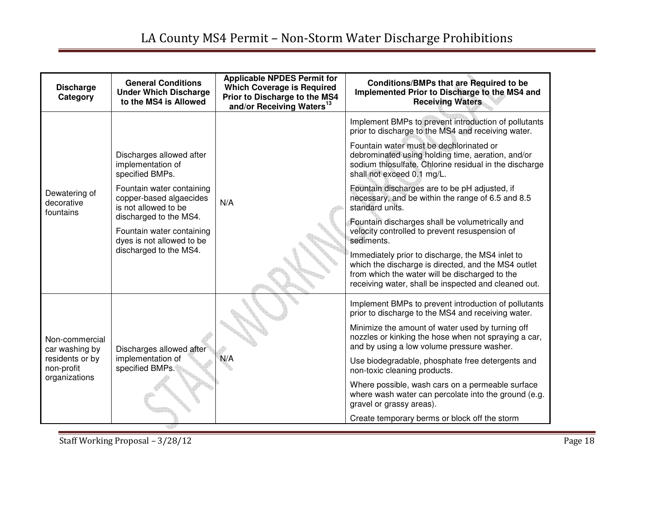| <b>Discharge</b><br>Category                                                       | <b>General Conditions</b><br><b>Under Which Discharge</b><br>to the MS4 is Allowed | <b>Applicable NPDES Permit for</b><br><b>Which Coverage is Required</b><br>Prior to Discharge to the MS4<br>and/or Receiving Waters <sup>13</sup> | <b>Conditions/BMPs that are Required to be</b><br>Implemented Prior to Discharge to the MS4 and<br><b>Receiving Waters</b>                                                                                        |
|------------------------------------------------------------------------------------|------------------------------------------------------------------------------------|---------------------------------------------------------------------------------------------------------------------------------------------------|-------------------------------------------------------------------------------------------------------------------------------------------------------------------------------------------------------------------|
| Dewatering of<br>decorative<br>fountains                                           |                                                                                    |                                                                                                                                                   | Implement BMPs to prevent introduction of pollutants<br>prior to discharge to the MS4 and receiving water.                                                                                                        |
|                                                                                    | Discharges allowed after<br>implementation of<br>specified BMPs.                   | N/A                                                                                                                                               | Fountain water must be dechlorinated or<br>debrominated using holding time, aeration, and/or<br>sodium thiosulfate. Chlorine residual in the discharge<br>shall not exceed 0.1 mg/L.                              |
|                                                                                    | Fountain water containing<br>copper-based algaecides<br>is not allowed to be       |                                                                                                                                                   | Fountain discharges are to be pH adjusted, if<br>necessary, and be within the range of 6.5 and 8.5<br>standard units.                                                                                             |
|                                                                                    | discharged to the MS4.<br>Fountain water containing<br>dyes is not allowed to be   |                                                                                                                                                   | Fountain discharges shall be volumetrically and<br>velocity controlled to prevent resuspension of<br>sediments.                                                                                                   |
|                                                                                    | discharged to the MS4.                                                             |                                                                                                                                                   | Immediately prior to discharge, the MS4 inlet to<br>which the discharge is directed, and the MS4 outlet<br>from which the water will be discharged to the<br>receiving water, shall be inspected and cleaned out. |
| Non-commercial<br>car washing by<br>residents or by<br>non-profit<br>organizations |                                                                                    |                                                                                                                                                   | Implement BMPs to prevent introduction of pollutants<br>prior to discharge to the MS4 and receiving water.                                                                                                        |
|                                                                                    | Discharges allowed after<br>implementation of<br>specified BMPs.                   |                                                                                                                                                   | Minimize the amount of water used by turning off<br>nozzles or kinking the hose when not spraying a car,<br>and by using a low volume pressure washer.                                                            |
|                                                                                    |                                                                                    | N/A                                                                                                                                               | Use biodegradable, phosphate free detergents and<br>non-toxic cleaning products.                                                                                                                                  |
|                                                                                    |                                                                                    |                                                                                                                                                   | Where possible, wash cars on a permeable surface<br>where wash water can percolate into the ground (e.g.<br>gravel or grassy areas).                                                                              |
|                                                                                    |                                                                                    |                                                                                                                                                   | Create temporary berms or block off the storm                                                                                                                                                                     |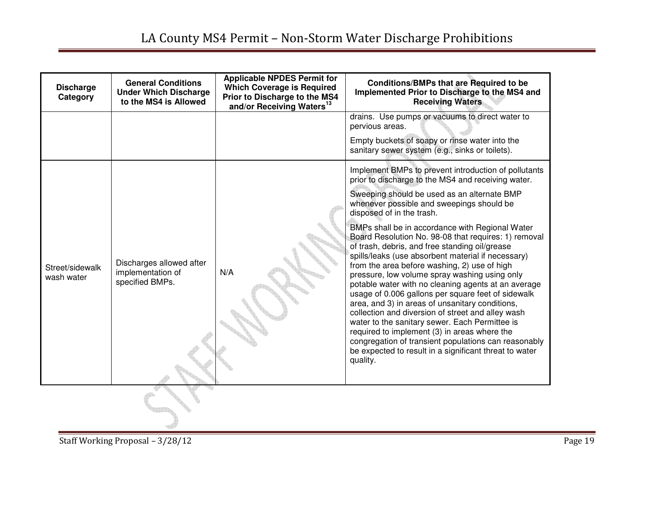| <b>Discharge</b><br>Category  | <b>General Conditions</b><br><b>Under Which Discharge</b><br>to the MS4 is Allowed | <b>Applicable NPDES Permit for</b><br><b>Which Coverage is Required</b><br>Prior to Discharge to the MS4<br>and/or Receiving Waters <sup>13</sup> | <b>Conditions/BMPs that are Required to be</b><br>Implemented Prior to Discharge to the MS4 and<br><b>Receiving Waters</b>                                                                                                                                                                                                                                                                                                                                                                                                                                                                                                                                                                                                                                                                                                                                                                                                                                                                                   |
|-------------------------------|------------------------------------------------------------------------------------|---------------------------------------------------------------------------------------------------------------------------------------------------|--------------------------------------------------------------------------------------------------------------------------------------------------------------------------------------------------------------------------------------------------------------------------------------------------------------------------------------------------------------------------------------------------------------------------------------------------------------------------------------------------------------------------------------------------------------------------------------------------------------------------------------------------------------------------------------------------------------------------------------------------------------------------------------------------------------------------------------------------------------------------------------------------------------------------------------------------------------------------------------------------------------|
|                               |                                                                                    |                                                                                                                                                   | drains. Use pumps or vacuums to direct water to<br>pervious areas.<br>Empty buckets of soapy or rinse water into the<br>sanitary sewer system (e.g., sinks or toilets).                                                                                                                                                                                                                                                                                                                                                                                                                                                                                                                                                                                                                                                                                                                                                                                                                                      |
| Street/sidewalk<br>wash water | Discharges allowed after<br>implementation of<br>specified BMPs.                   | N/A                                                                                                                                               | Implement BMPs to prevent introduction of pollutants<br>prior to discharge to the MS4 and receiving water.<br>Sweeping should be used as an alternate BMP<br>whenever possible and sweepings should be<br>disposed of in the trash.<br>BMPs shall be in accordance with Regional Water<br>Board Resolution No. 98-08 that requires: 1) removal<br>of trash, debris, and free standing oil/grease<br>spills/leaks (use absorbent material if necessary)<br>from the area before washing, 2) use of high<br>pressure, low volume spray washing using only<br>potable water with no cleaning agents at an average<br>usage of 0.006 gallons per square feet of sidewalk<br>area, and 3) in areas of unsanitary conditions,<br>collection and diversion of street and alley wash<br>water to the sanitary sewer. Each Permittee is<br>required to implement (3) in areas where the<br>congregation of transient populations can reasonably<br>be expected to result in a significant threat to water<br>quality. |
|                               |                                                                                    |                                                                                                                                                   |                                                                                                                                                                                                                                                                                                                                                                                                                                                                                                                                                                                                                                                                                                                                                                                                                                                                                                                                                                                                              |